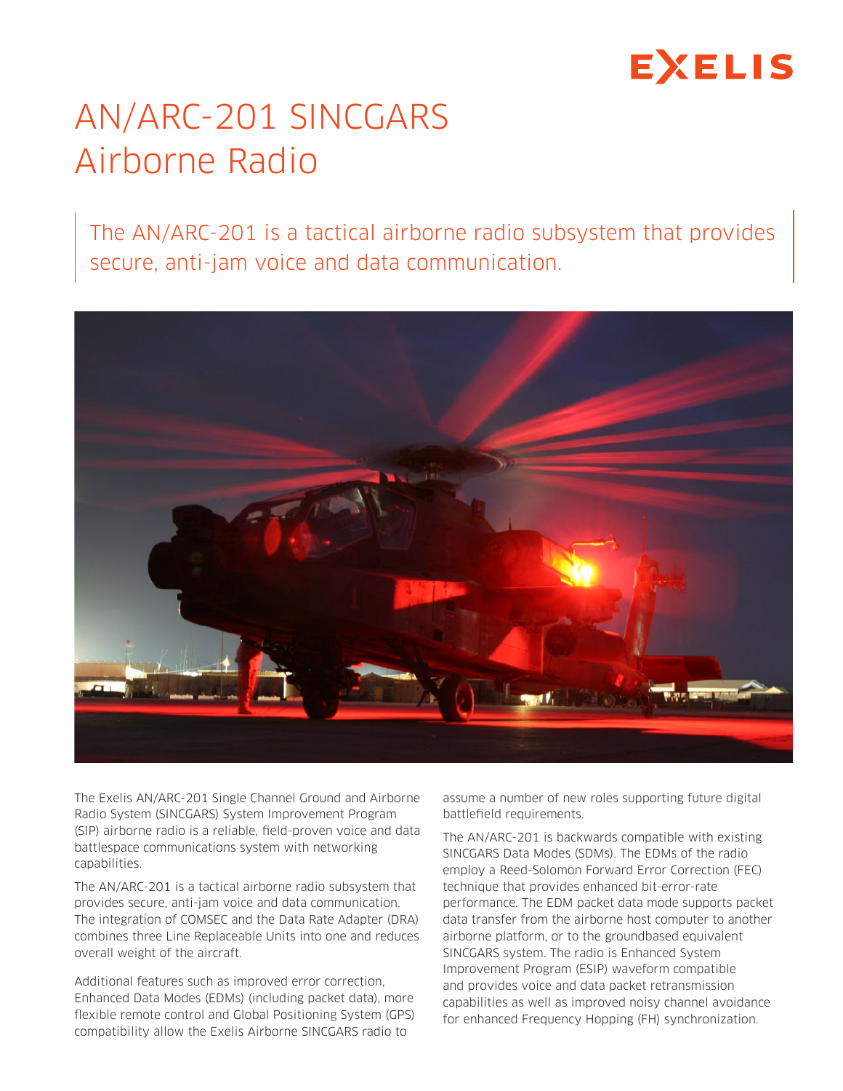# EXELIS

## AN/ARC-201 SINCGARS Airborne Radio

The AN/ARC-201 is a tactical airborne radio subsystem that provides secure, anti-jam voice and data communication.



The Exelis AN/ARC-201 Single Channel Ground and Airborne Radio System (SINCGARS) System Improvement Program (SIP) airborne radio is a reliable, field-proven voice and data battlespace communications system with networking capabilities.

The AN/ARC-201 is a tactical airborne radio subsystem that provides secure, anti-jam voice and data communication. The integration of COMSEC and the Data Rate Adapter (DRA) combines three Line Replaceable Units into one and reduces overall weight of the aircraft.

Additional features such as improved error correction, Enhanced Data Modes (EDMs) (including packet data), more flexible remote control and Global Positioning System (GPS) compatibility allow the Exelis Airborne SINCGARS radio to

assume a number of new roles supporting future digital battlefield requirements.

The AN/ARC-201 is backwards compatible with existing SINCGARS Data Modes (SDMs). The EDMs of the radio employ a Reed-Solomon Forward Error Correction (FEC) technique that provides enhanced bit-error-rate performance. The EDM packet data mode supports packet data transfer from the airborne host computer to another airborne platform, or to the groundbased equivalent SINCGARS system. The radio is Enhanced System Improvement Program (ESIP) waveform compatible and provides voice and data packet retransmission capabilities as well as improved noisy channel avoidance for enhanced Frequency Hopping (FH) synchronization.